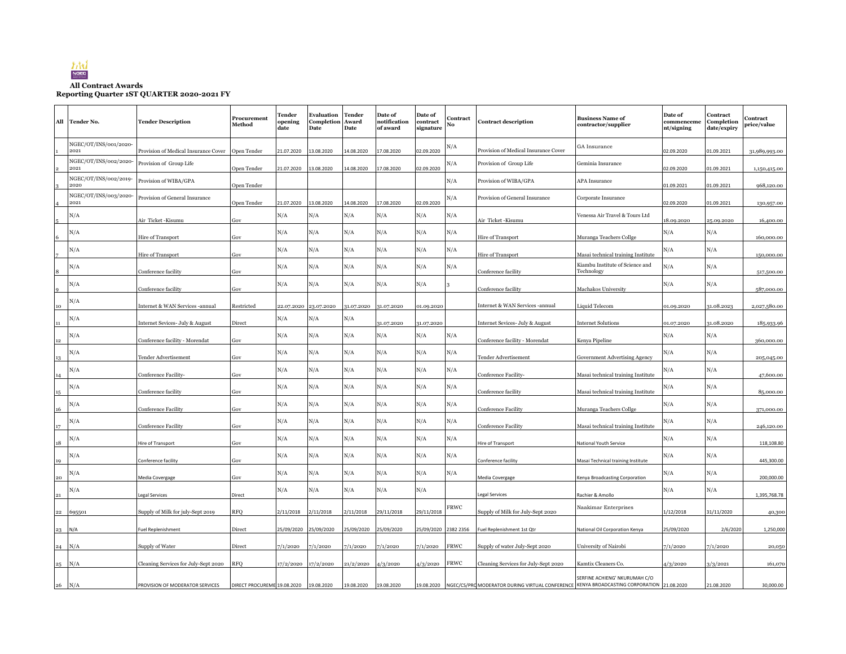

## **All Contract Awards Reporting Quarter 1ST QUARTER 2020-2021 FY**

|                   | All Tender No.                | <b>Tender Description</b>                       | Procurement<br>Method       | Tender<br>opening<br>date | Evaluation<br><b>Completion Award</b><br>Date | <b>Tender</b><br>Date | Date of<br>notification<br>of award | Date of<br>contract<br>signature | Contract<br>No | <b>Contract description</b>                                                               | <b>Business Name of</b><br>contractor/supplier                        | Date of<br>commenceme<br>nt/signing | Contract<br>Completion<br>date/expiry | Contract<br>price/value  |
|-------------------|-------------------------------|-------------------------------------------------|-----------------------------|---------------------------|-----------------------------------------------|-----------------------|-------------------------------------|----------------------------------|----------------|-------------------------------------------------------------------------------------------|-----------------------------------------------------------------------|-------------------------------------|---------------------------------------|--------------------------|
|                   | NGEC/OT/INS/001/2020-<br>2021 | Provision of Medical Insurance Cover            | Open Tender                 | 21.07.2020                | 13.08.2020                                    | 14.08.2020            | 17.08.2020                          | 02.09.2020                       | N/A            | Provision of Medical Insurance Cover                                                      | GA Insurance                                                          | 02.09.2020                          | 01.09.2021                            | 31,989,993.00            |
|                   | NGEC/OT/INS/002/2020-<br>2021 | Provision of Group Life                         | Open Tender                 | 21.07.2020                | 13.08.2020                                    | 14.08.2020            | 17.08.2020                          | 02.09.2020                       | N/A            | Provision of Group Life                                                                   | Geminia Insurance                                                     | 02.09.2020                          | 01.09.2021                            | 1,150,415.00             |
|                   | NGEC/OT/INS/002/2019-<br>2020 | Provision of WIBA/GPA                           | Open Tender                 |                           |                                               |                       |                                     |                                  | N/A            | Provision of WIBA/GPA                                                                     | <b>APA</b> Insurance                                                  | 01.09.2021                          | 01.09.2021                            | 968,120.00               |
|                   | NGEC/OT/INS/003/2020-<br>2021 | Provision of General Insurance                  | Open Tender                 | 21.07.2020                | 13.08.2020                                    | 14.08.2020            | 17.08.2020                          | 02.09.2020                       | N/A            | Provision of General Insurance                                                            | Corporate Insurance                                                   | 02.09.2020                          | 01.09.2021                            | 130,957.00               |
|                   | N/A                           | Air Ticket -Kisumu                              | Gov                         | N/A                       | N/A                                           | N/A                   | N/A                                 | N/A                              | N/A            | Air Ticket -Kisumu                                                                        | Venessa Air Travel & Tours Ltd                                        | 18.09.2020                          | 25.09.2020                            | 16,400.00                |
|                   | N/A                           |                                                 |                             | N/A                       | N/A                                           | N/A                   | N/A                                 | N/A                              | N/A            |                                                                                           |                                                                       | N/A                                 | N/A                                   |                          |
|                   | N/A                           | Hire of Transport                               | Gov                         | N/A                       | N/A                                           | N/A                   | N/A                                 | N/A                              | N/A            | Hire of Transport                                                                         | Muranga Teachers Collge                                               | N/A                                 | N/A                                   | 160,000.00               |
|                   | N/A                           | Hire of Transport                               | Gov                         | N/A                       | N/A                                           | N/A                   | N/A                                 | N/A                              | N/A            | Hire of Transport                                                                         | Masai technical training Institute<br>Kiambu Institute of Science and | N/A                                 | N/A                                   | 150,000.00               |
|                   |                               | Conference facility                             | Gov                         |                           |                                               |                       |                                     |                                  |                | Conference facility                                                                       | Technology                                                            |                                     |                                       | 517,500.00               |
|                   | N/A                           | Conference facility                             | Gov                         | N/A                       | N/A                                           | N/A                   | N/A                                 | N/A                              |                | Conference facility                                                                       | Machakos University                                                   | N/A                                 | N/A                                   | 587,000.00               |
| 10                | N/A                           | Internet & WAN Services -annual                 | Restricted                  |                           | 22.07.2020 23.07.2020                         | 31.07.2020            | 31.07.2020                          | 01.09.2020                       |                | Internet & WAN Services -annual                                                           | Liquid Telecom                                                        | 01.09.2020                          | 31.08.2023                            | 2,027,580.00             |
| 11                | N/A                           | Internet Sevices- July & August                 | Direct                      | N/A                       | N/A                                           | N/A                   | 31.07.2020                          | 31.07.2020                       |                | Internet Sevices- July & August                                                           | <b>Internet Solutions</b>                                             | 01.07.2020                          | 31.08.2020                            | 185,933.96               |
| $12\,$            | N/A                           | Conference facility - Morendat                  | Gov                         | N/A                       | N/A                                           | N/A                   | N/A                                 | N/A                              | N/A            | Conference facility - Morendat                                                            | Kenya Pipeline                                                        | N/A                                 | N/A                                   | 360,000.00               |
| 13                | N/A                           | Tender Advertisement                            | Gov                         | N/A                       | N/A                                           | N/A                   | N/A                                 | N/A                              | $\rm N/A$      | Tender Advertisement                                                                      | Government Advertising Agency                                         | N/A                                 | N/A                                   | 205,045.00               |
|                   | N/A                           | Conference Facility-                            | Gov                         | N/A                       | N/A                                           | N/A                   | N/A                                 | N/A                              | N/A            | Conference Facility-                                                                      | Masai technical training Institute                                    | N/A                                 | N/A                                   | 47,600.00                |
| 15                | N/A                           | Conference facility                             | Gov                         | N/A                       | N/A                                           | N/A                   | N/A                                 | N/A                              | N/A            | Conference facility                                                                       | Masai technical training Institute                                    | N/A                                 | N/A                                   | 85,000.00                |
|                   | N/A                           |                                                 |                             | N/A                       | N/A                                           | N/A                   | N/A                                 | N/A                              | N/A            |                                                                                           |                                                                       | N/A                                 | N/A                                   |                          |
| 16                | N/A                           | <b>Conference Facility</b>                      | Gov                         | N/A                       | N/A                                           | N/A                   | N/A                                 | N/A                              | N/A            | <b>Conference Facility</b>                                                                | Muranga Teachers Collge                                               | N/A                                 | N/A                                   | 371,000.00               |
| 17<br>$^{\rm 18}$ | N/A                           | <b>Conference Facility</b><br>Hire of Transport | Gov<br>Gov                  | N/A                       | N/A                                           | N/A                   | N/A                                 | N/A                              | N/A            | <b>Conference Facility</b><br>Hire of Transport                                           | Masai technical training Institute<br>National Youth Service          | N/A                                 | N/A                                   | 246,120.00<br>118,108.80 |
|                   | N/A                           |                                                 |                             | N/A                       | N/A                                           | N/A                   | N/A                                 | N/A                              | N/A            |                                                                                           |                                                                       | N/A                                 | N/A                                   |                          |
| 19                | N/A                           | Conference facility                             | Gov                         | N/A                       | N/A                                           | N/A                   | N/A                                 | N/A                              | N/A            | Conference facility                                                                       | Masai Technical training Institute                                    | N/A                                 | N/A                                   | 445,300.00               |
| $\bf{20}$         |                               | Media Covergage                                 | Gov                         |                           |                                               |                       |                                     |                                  |                | Media Covergage                                                                           | Kenya Broadcasting Corporation                                        |                                     |                                       | 200,000.00               |
| 21                | N/A                           | egal Services                                   | Direct                      | N/A                       | N/A                                           | N/A                   | N/A                                 | N/A                              |                | <b>Legal Services</b>                                                                     | Rachier & Amollo                                                      | N/A                                 | N/A                                   | 1,395,768.78             |
| 22                | 695501                        | Supply of Milk for july-Sept 2019               | RFQ                         | 2/11/2018                 | 2/11/2018                                     | 2/11/2018             | 29/11/2018                          | 29/11/2018                       | FRWC           | Supply of Milk for July-Sept 2020                                                         | Naakimar Enterprises                                                  | 1/12/2018                           | 31/11/2020                            | 40,300                   |
| 23                | N/A                           | Fuel Replenishment                              | Direct                      | 25/09/2020                | 25/09/2020                                    | 25/09/2020            | 25/09/2020                          | 25/09/2020 2382 2356             |                | Fuel Replenishment 1st Qtr                                                                | National Oil Corporation Kenya                                        | 25/09/2020                          | 2/6/2020                              | 1,250,000                |
| $24$ N/A          |                               | Supply of Water                                 | Direct                      | 7/1/2020                  | 7/1/2020                                      | 7/1/2020              | 7/1/2020                            | 7/1/2020                         | FRWC           | Supply of water July-Sept 2020                                                            | University of Nairobi                                                 | 7/1/2020                            | 7/1/2020                              | 20,050                   |
| $25$ N/A          |                               | Cleaning Services for July-Sept 2020            | RFQ                         | 17/2/2020                 | 17/2/2020                                     | 21/2/2020             | 4/3/2020                            | 4/3/2020                         | FRWC           | Cleaning Services for July-Sept 2020                                                      | Kamtix Cleaners Co.                                                   | 4/3/2020                            | 3/3/2021                              | 161,070                  |
|                   |                               |                                                 |                             |                           |                                               |                       |                                     |                                  |                |                                                                                           | SERFINE ACHIENG' NKURUMAH C/O                                         |                                     |                                       |                          |
| $26$ N/A          |                               | PROVISION OF MODERATOR SERVICES                 | DIRECT PROCUREME 19.08.2020 |                           | 19.08.2020                                    | 19.08.2020            | 19.08.2020                          | 19.08.2020                       |                | NGEC/CS/PRO MODERATOR DURING VIRTUAL CONFERENCE KENYA BROADCASTING CORPORATION 21.08.2020 |                                                                       |                                     | 21.08.2020                            | 30,000.00                |